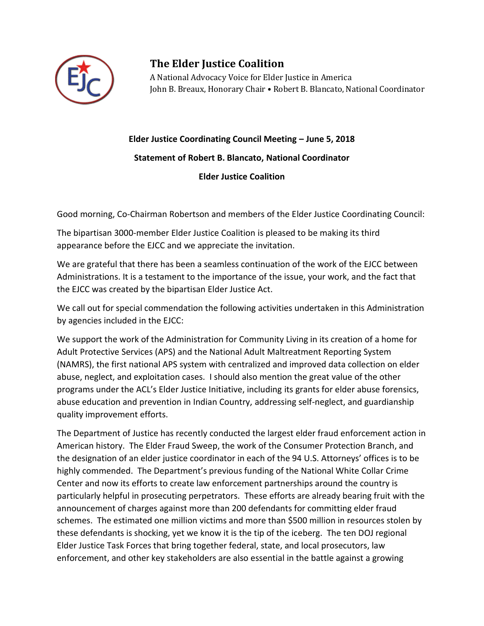

## **The Elder Justice Coalition**

A National Advocacy Voice for Elder Justice in America John B. Breaux, Honorary Chair • Robert B. Blancato, National Coordinator

## **Elder Justice Coordinating Council Meeting – June 5, 2018**

**Statement of Robert B. Blancato, National Coordinator**

## **Elder Justice Coalition**

Good morning, Co-Chairman Robertson and members of the Elder Justice Coordinating Council:

The bipartisan 3000-member Elder Justice Coalition is pleased to be making its third appearance before the EJCC and we appreciate the invitation.

We are grateful that there has been a seamless continuation of the work of the EJCC between Administrations. It is a testament to the importance of the issue, your work, and the fact that the EJCC was created by the bipartisan Elder Justice Act.

We call out for special commendation the following activities undertaken in this Administration by agencies included in the EJCC:

We support the work of the Administration for Community Living in its creation of a home for Adult Protective Services (APS) and the National Adult Maltreatment Reporting System (NAMRS), the first national APS system with centralized and improved data collection on elder abuse, neglect, and exploitation cases. I should also mention the great value of the other programs under the ACL's Elder Justice Initiative, including its grants for elder abuse forensics, abuse education and prevention in Indian Country, addressing self-neglect, and guardianship quality improvement efforts.

The Department of Justice has recently conducted the largest elder fraud enforcement action in American history. The Elder Fraud Sweep, the work of the Consumer Protection Branch, and the designation of an elder justice coordinator in each of the 94 U.S. Attorneys' offices is to be highly commended. The Department's previous funding of the National White Collar Crime Center and now its efforts to create law enforcement partnerships around the country is particularly helpful in prosecuting perpetrators. These efforts are already bearing fruit with the announcement of charges against more than 200 defendants for committing elder fraud schemes. The estimated one million victims and more than \$500 million in resources stolen by these defendants is shocking, yet we know it is the tip of the iceberg. The ten DOJ regional Elder Justice Task Forces that bring together federal, state, and local prosecutors, law enforcement, and other key stakeholders are also essential in the battle against a growing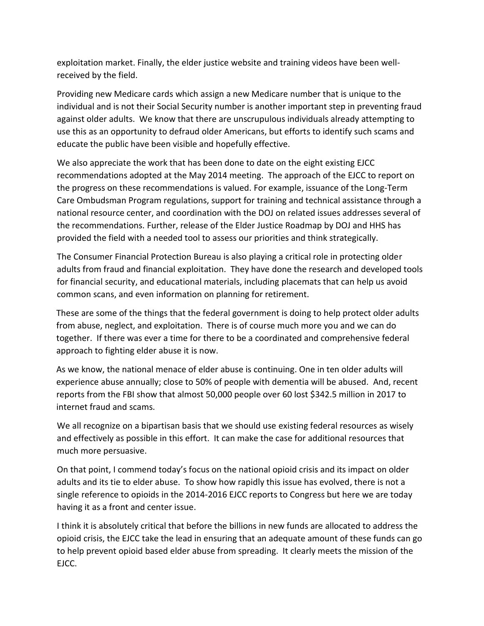exploitation market. Finally, the elder justice website and training videos have been wellreceived by the field.

Providing new Medicare cards which assign a new Medicare number that is unique to the individual and is not their Social Security number is another important step in preventing fraud against older adults. We know that there are unscrupulous individuals already attempting to use this as an opportunity to defraud older Americans, but efforts to identify such scams and educate the public have been visible and hopefully effective.

We also appreciate the work that has been done to date on the eight existing EJCC recommendations adopted at the May 2014 meeting. The approach of the EJCC to report on the progress on these recommendations is valued. For example, issuance of the Long-Term Care Ombudsman Program regulations, support for training and technical assistance through a national resource center, and coordination with the DOJ on related issues addresses several of the recommendations. Further, release of the Elder Justice Roadmap by DOJ and HHS has provided the field with a needed tool to assess our priorities and think strategically.

The Consumer Financial Protection Bureau is also playing a critical role in protecting older adults from fraud and financial exploitation. They have done the research and developed tools for financial security, and educational materials, including placemats that can help us avoid common scans, and even information on planning for retirement.

These are some of the things that the federal government is doing to help protect older adults from abuse, neglect, and exploitation. There is of course much more you and we can do together. If there was ever a time for there to be a coordinated and comprehensive federal approach to fighting elder abuse it is now.

As we know, the national menace of elder abuse is continuing. One in ten older adults will experience abuse annually; close to 50% of people with dementia will be abused. And, recent reports from the FBI show that almost 50,000 people over 60 lost \$342.5 million in 2017 to internet fraud and scams.

We all recognize on a bipartisan basis that we should use existing federal resources as wisely and effectively as possible in this effort. It can make the case for additional resources that much more persuasive.

On that point, I commend today's focus on the national opioid crisis and its impact on older adults and its tie to elder abuse. To show how rapidly this issue has evolved, there is not a single reference to opioids in the 2014-2016 EJCC reports to Congress but here we are today having it as a front and center issue.

I think it is absolutely critical that before the billions in new funds are allocated to address the opioid crisis, the EJCC take the lead in ensuring that an adequate amount of these funds can go to help prevent opioid based elder abuse from spreading. It clearly meets the mission of the EJCC.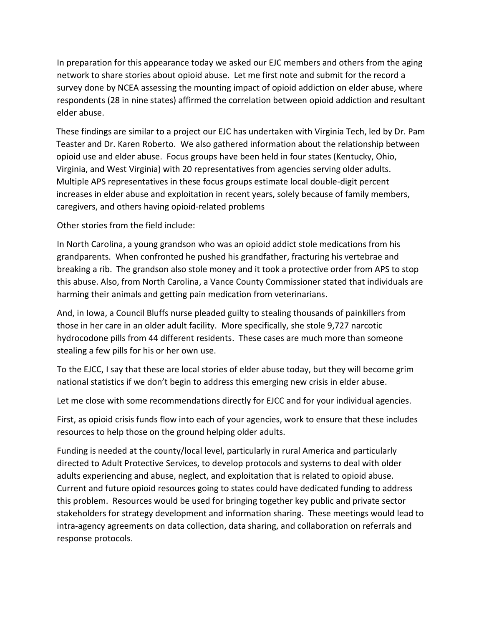In preparation for this appearance today we asked our EJC members and others from the aging network to share stories about opioid abuse. Let me first note and submit for the record a survey done by NCEA assessing the mounting impact of opioid addiction on elder abuse, where respondents (28 in nine states) affirmed the correlation between opioid addiction and resultant elder abuse.

These findings are similar to a project our EJC has undertaken with Virginia Tech, led by Dr. Pam Teaster and Dr. Karen Roberto. We also gathered information about the relationship between opioid use and elder abuse. Focus groups have been held in four states (Kentucky, Ohio, Virginia, and West Virginia) with 20 representatives from agencies serving older adults. Multiple APS representatives in these focus groups estimate local double-digit percent increases in elder abuse and exploitation in recent years, solely because of family members, caregivers, and others having opioid-related problems

Other stories from the field include:

In North Carolina, a young grandson who was an opioid addict stole medications from his grandparents. When confronted he pushed his grandfather, fracturing his vertebrae and breaking a rib. The grandson also stole money and it took a protective order from APS to stop this abuse. Also, from North Carolina, a Vance County Commissioner stated that individuals are harming their animals and getting pain medication from veterinarians.

And, in Iowa, a Council Bluffs nurse pleaded guilty to stealing thousands of painkillers from those in her care in an older adult facility. More specifically, she stole 9,727 narcotic hydrocodone pills from 44 different residents. These cases are much more than someone stealing a few pills for his or her own use.

To the EJCC, I say that these are local stories of elder abuse today, but they will become grim national statistics if we don't begin to address this emerging new crisis in elder abuse.

Let me close with some recommendations directly for EJCC and for your individual agencies.

First, as opioid crisis funds flow into each of your agencies, work to ensure that these includes resources to help those on the ground helping older adults.

Funding is needed at the county/local level, particularly in rural America and particularly directed to Adult Protective Services, to develop protocols and systems to deal with older adults experiencing and abuse, neglect, and exploitation that is related to opioid abuse. Current and future opioid resources going to states could have dedicated funding to address this problem. Resources would be used for bringing together key public and private sector stakeholders for strategy development and information sharing. These meetings would lead to intra-agency agreements on data collection, data sharing, and collaboration on referrals and response protocols.